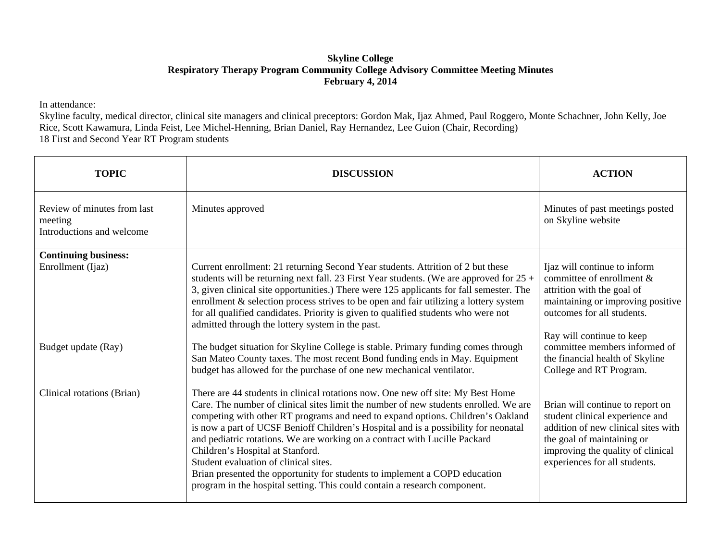## **Skyline College Respiratory Therapy Program Community College Advisory Committee Meeting Minutes February 4, 2014**

In attendance:

Skyline faculty, medical director, clinical site managers and clinical preceptors: Gordon Mak, Ijaz Ahmed, Paul Roggero, Monte Schachner, John Kelly, Joe Rice, Scott Kawamura, Linda Feist, Lee Michel-Henning, Brian Daniel, Ray Hernandez, Lee Guion (Chair, Recording) 18 First and Second Year RT Program students

| <b>TOPIC</b>                                                        | <b>DISCUSSION</b>                                                                                                                                                                                                                                                                                                                                                                                                                                                                                                                                                                                                                                                       | <b>ACTION</b>                                                                                                                                                                                                  |
|---------------------------------------------------------------------|-------------------------------------------------------------------------------------------------------------------------------------------------------------------------------------------------------------------------------------------------------------------------------------------------------------------------------------------------------------------------------------------------------------------------------------------------------------------------------------------------------------------------------------------------------------------------------------------------------------------------------------------------------------------------|----------------------------------------------------------------------------------------------------------------------------------------------------------------------------------------------------------------|
| Review of minutes from last<br>meeting<br>Introductions and welcome | Minutes approved                                                                                                                                                                                                                                                                                                                                                                                                                                                                                                                                                                                                                                                        | Minutes of past meetings posted<br>on Skyline website                                                                                                                                                          |
| <b>Continuing business:</b>                                         |                                                                                                                                                                                                                                                                                                                                                                                                                                                                                                                                                                                                                                                                         |                                                                                                                                                                                                                |
| Enrollment (Ijaz)                                                   | Current enrollment: 21 returning Second Year students. Attrition of 2 but these<br>students will be returning next fall. 23 First Year students. (We are approved for $25 +$<br>3, given clinical site opportunities.) There were 125 applicants for fall semester. The<br>enrollment & selection process strives to be open and fair utilizing a lottery system<br>for all qualified candidates. Priority is given to qualified students who were not<br>admitted through the lottery system in the past.                                                                                                                                                              | Ijaz will continue to inform<br>committee of enrollment $\&$<br>attrition with the goal of<br>maintaining or improving positive<br>outcomes for all students.                                                  |
| Budget update (Ray)                                                 | The budget situation for Skyline College is stable. Primary funding comes through<br>San Mateo County taxes. The most recent Bond funding ends in May. Equipment<br>budget has allowed for the purchase of one new mechanical ventilator.                                                                                                                                                                                                                                                                                                                                                                                                                               | Ray will continue to keep<br>committee members informed of<br>the financial health of Skyline<br>College and RT Program.                                                                                       |
| Clinical rotations (Brian)                                          | There are 44 students in clinical rotations now. One new off site: My Best Home<br>Care. The number of clinical sites limit the number of new students enrolled. We are<br>competing with other RT programs and need to expand options. Children's Oakland<br>is now a part of UCSF Benioff Children's Hospital and is a possibility for neonatal<br>and pediatric rotations. We are working on a contract with Lucille Packard<br>Children's Hospital at Stanford.<br>Student evaluation of clinical sites.<br>Brian presented the opportunity for students to implement a COPD education<br>program in the hospital setting. This could contain a research component. | Brian will continue to report on<br>student clinical experience and<br>addition of new clinical sites with<br>the goal of maintaining or<br>improving the quality of clinical<br>experiences for all students. |